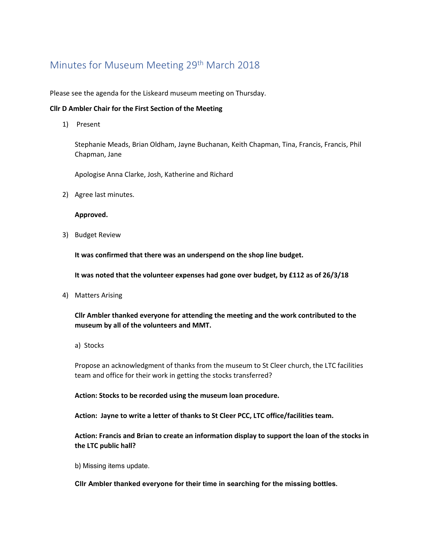# Minutes for Museum Meeting 29<sup>th</sup> March 2018

Please see the agenda for the Liskeard museum meeting on Thursday.

## **Cllr D Ambler Chair for the First Section of the Meeting**

1) Present

Stephanie Meads, Brian Oldham, Jayne Buchanan, Keith Chapman, Tina, Francis, Francis, Phil Chapman, Jane

Apologise Anna Clarke, Josh, Katherine and Richard

2) Agree last minutes.

### **Approved.**

3) Budget Review

**It was confirmed that there was an underspend on the shop line budget.** 

**It was noted that the volunteer expenses had gone over budget, by £112 as of 26/3/18**

4) Matters Arising

**Cllr Ambler thanked everyone for attending the meeting and the work contributed to the museum by all of the volunteers and MMT.**

a) Stocks

Propose an acknowledgment of thanks from the museum to St Cleer church, the LTC facilities team and office for their work in getting the stocks transferred?

**Action: Stocks to be recorded using the museum loan procedure.** 

**Action: Jayne to write a letter of thanks to St Cleer PCC, LTC office/facilities team.**

**Action: Francis and Brian to create an information display to support the loan of the stocks in the LTC public hall?**

b) Missing items update.

**Cllr Ambler thanked everyone for their time in searching for the missing bottles.**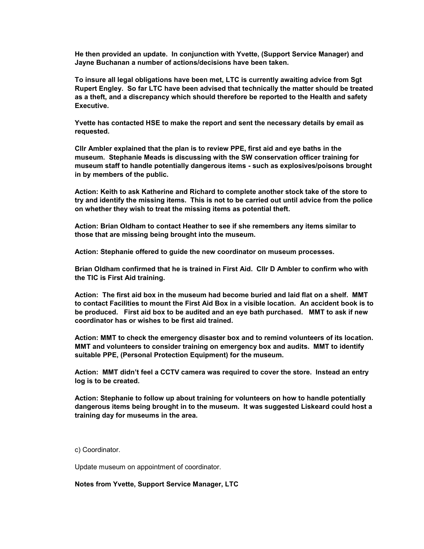**He then provided an update. In conjunction with Yvette, (Support Service Manager) and Jayne Buchanan a number of actions/decisions have been taken.** 

**To insure all legal obligations have been met, LTC is currently awaiting advice from Sgt Rupert Engley. So far LTC have been advised that technically the matter should be treated as a theft, and a discrepancy which should therefore be reported to the Health and safety Executive.** 

**Yvette has contacted HSE to make the report and sent the necessary details by email as requested.**

**Cllr Ambler explained that the plan is to review PPE, first aid and eye baths in the museum. Stephanie Meads is discussing with the SW conservation officer training for museum staff to handle potentially dangerous items - such as explosives/poisons brought in by members of the public.**

**Action: Keith to ask Katherine and Richard to complete another stock take of the store to try and identify the missing items. This is not to be carried out until advice from the police on whether they wish to treat the missing items as potential theft.**

**Action: Brian Oldham to contact Heather to see if she remembers any items similar to those that are missing being brought into the museum.**

**Action: Stephanie offered to guide the new coordinator on museum processes.**

**Brian Oldham confirmed that he is trained in First Aid. Cllr D Ambler to confirm who with the TIC is First Aid training.** 

**Action: The first aid box in the museum had become buried and laid flat on a shelf. MMT to contact Facilities to mount the First Aid Box in a visible location. An accident book is to be produced. First aid box to be audited and an eye bath purchased. MMT to ask if new coordinator has or wishes to be first aid trained.**

**Action: MMT to check the emergency disaster box and to remind volunteers of its location. MMT and volunteers to consider training on emergency box and audits. MMT to identify suitable PPE, (Personal Protection Equipment) for the museum.** 

**Action: MMT didn't feel a CCTV camera was required to cover the store. Instead an entry log is to be created.** 

**Action: Stephanie to follow up about training for volunteers on how to handle potentially dangerous items being brought in to the museum. It was suggested Liskeard could host a training day for museums in the area.** 

c) Coordinator.

Update museum on appointment of coordinator.

**Notes from Yvette, Support Service Manager, LTC**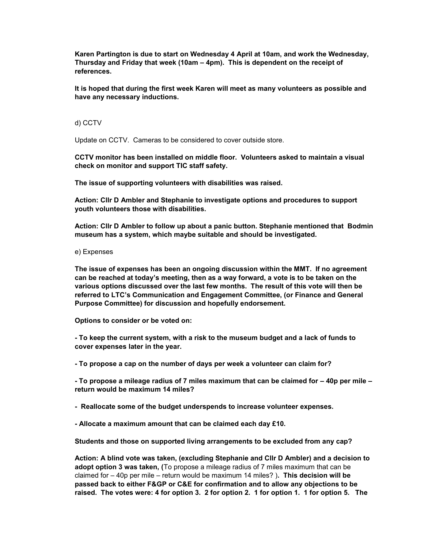**Karen Partington is due to start on Wednesday 4 April at 10am, and work the Wednesday, Thursday and Friday that week (10am – 4pm). This is dependent on the receipt of references.**

**It is hoped that during the first week Karen will meet as many volunteers as possible and have any necessary inductions.**

#### d) CCTV

Update on CCTV. Cameras to be considered to cover outside store.

**CCTV monitor has been installed on middle floor. Volunteers asked to maintain a visual check on monitor and support TIC staff safety.** 

**The issue of supporting volunteers with disabilities was raised.** 

**Action: Cllr D Ambler and Stephanie to investigate options and procedures to support youth volunteers those with disabilities.** 

**Action: Cllr D Ambler to follow up about a panic button. Stephanie mentioned that Bodmin museum has a system, which maybe suitable and should be investigated.** 

#### e) Expenses

**The issue of expenses has been an ongoing discussion within the MMT. If no agreement can be reached at today's meeting, then as a way forward, a vote is to be taken on the various options discussed over the last few months. The result of this vote will then be referred to LTC's Communication and Engagement Committee, (or Finance and General Purpose Committee) for discussion and hopefully endorsement.** 

**Options to consider or be voted on:**

**- To keep the current system, with a risk to the museum budget and a lack of funds to cover expenses later in the year.**

**- To propose a cap on the number of days per week a volunteer can claim for?**

**- To propose a mileage radius of 7 miles maximum that can be claimed for – 40p per mile – return would be maximum 14 miles?** 

**- Reallocate some of the budget underspends to increase volunteer expenses.** 

**- Allocate a maximum amount that can be claimed each day £10.** 

**Students and those on supported living arrangements to be excluded from any cap?**

**Action: A blind vote was taken, (excluding Stephanie and Cllr D Ambler) and a decision to adopt option 3 was taken, (**To propose a mileage radius of 7 miles maximum that can be claimed for – 40p per mile – return would be maximum 14 miles? )**. This decision will be passed back to either F&GP or C&E for confirmation and to allow any objections to be raised. The votes were: 4 for option 3. 2 for option 2. 1 for option 1. 1 for option 5. The**